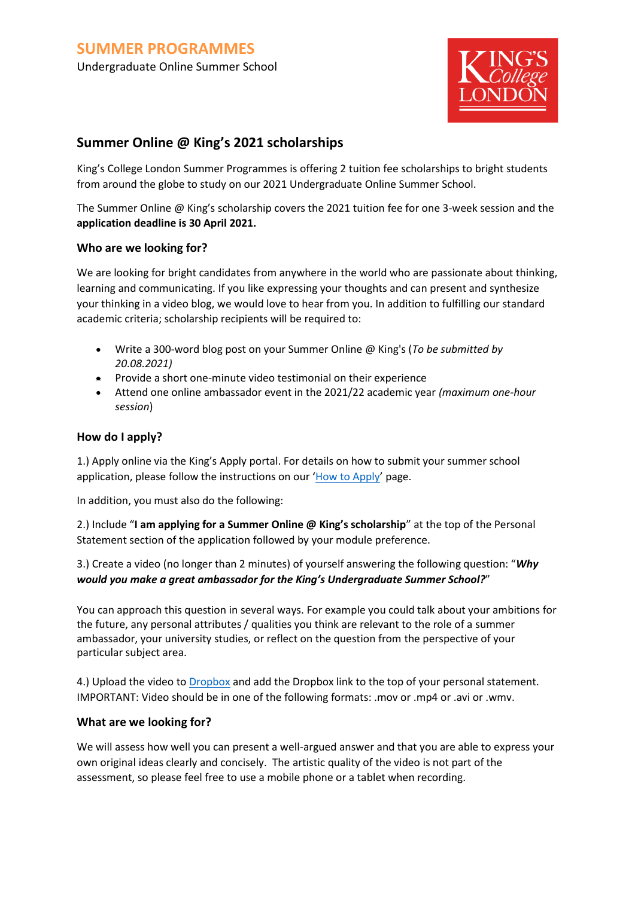

# **Summer Online @ King's 2021 scholarships**

King's College London Summer Programmes is offering 2 tuition fee scholarships to bright students from around the globe to study on our 2021 Undergraduate Online Summer School.

The Summer Online @ King's scholarship covers the 2021 tuition fee for one 3-week session and the **application deadline is 30 April 2021.**

### **Who are we looking for?**

We are looking for bright candidates from anywhere in the world who are passionate about thinking, learning and communicating. If you like expressing your thoughts and can present and synthesize your thinking in a video blog, we would love to hear from you. In addition to fulfilling our standard academic criteria; scholarship recipients will be required to:

- Write a 300-word blog post on your Summer Online @ King's (*To be submitted by 20.08.2021)*
- Provide a short one-minute video testimonial on their experience
- Attend one online ambassador event in the 2021/22 academic year *(maximum one-hour session*)

### **How do I apply?**

1.) Apply online via the King's Apply portal. For details on how to submit your summer school application, please follow the instructions on our '[How to Apply](https://www.kcl.ac.uk/summer/applying)' page.

In addition, you must also do the following:

2.) Include "**I am applying for a Summer Online @ King's scholarship**" at the top of the Personal Statement section of the application followed by your module preference.

3.) Create a video (no longer than 2 minutes) of yourself answering the following question: "*Why would you make a great ambassador for the King's Undergraduate Summer School?*"

You can approach this question in several ways. For example you could talk about your ambitions for the future, any personal attributes / qualities you think are relevant to the role of a summer ambassador, your university studies, or reflect on the question from the perspective of your particular subject area.

4.) Upload the video to **Dropbox** and add the [Dropbox](https://www.dropbox.com/) link to the top of your personal statement. IMPORTANT: Video should be in one of the following formats: .mov or .mp4 or .avi or .wmv.

#### **What are we looking for?**

We will assess how well you can present a well-argued answer and that you are able to express your own original ideas clearly and concisely. The artistic quality of the video is not part of the assessment, so please feel free to use a mobile phone or a tablet when recording.